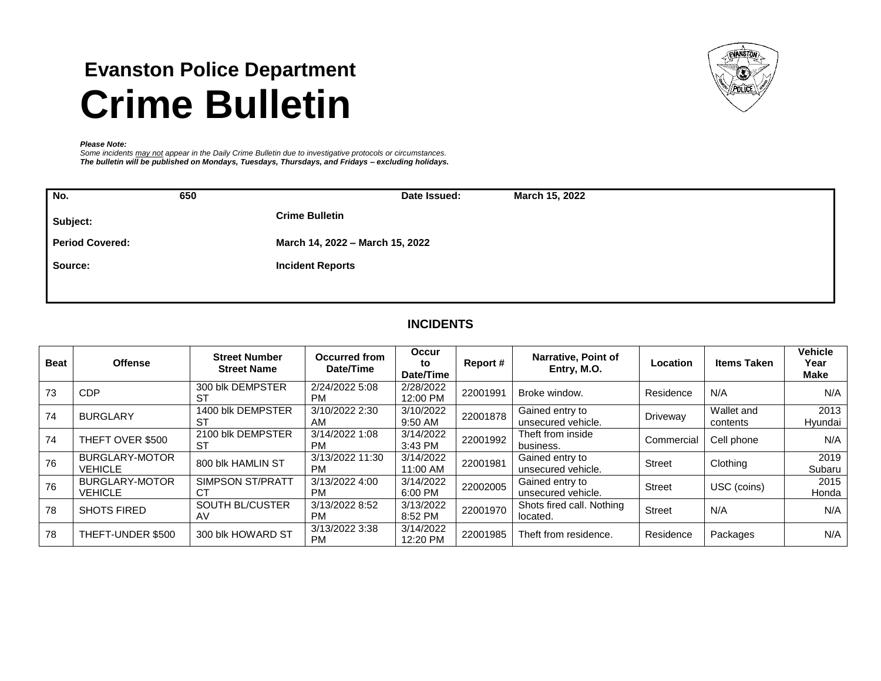# **Evanston Police Department Crime Bulletin**



#### *Please Note:*

*Some incidents may not appear in the Daily Crime Bulletin due to investigative protocols or circumstances. The bulletin will be published on Mondays, Tuesdays, Thursdays, and Fridays – excluding holidays.*

| No.      | 650                    | Date Issued:                    | March 15, 2022 |
|----------|------------------------|---------------------------------|----------------|
| Subject: |                        | <b>Crime Bulletin</b>           |                |
|          | <b>Period Covered:</b> | March 14, 2022 - March 15, 2022 |                |
| Source:  |                        | <b>Incident Reports</b>         |                |
|          |                        |                                 |                |

# **INCIDENTS**

| <b>Beat</b> | <b>Offense</b>                          | <b>Street Number</b><br><b>Street Name</b> | Occurred from<br>Date/Time   | <b>Occur</b><br>to<br>Date/Time | Report#  | Narrative, Point of<br>Entry, M.O.    | Location      | <b>Items Taken</b>     | <b>Vehicle</b><br>Year<br><b>Make</b> |
|-------------|-----------------------------------------|--------------------------------------------|------------------------------|---------------------------------|----------|---------------------------------------|---------------|------------------------|---------------------------------------|
| 73          | <b>CDP</b>                              | 300 blk DEMPSTER<br>ST                     | 2/24/2022 5:08<br><b>PM</b>  | 2/28/2022<br>12:00 PM           | 22001991 | Broke window.                         | Residence     | N/A                    | N/A                                   |
| 74          | <b>BURGLARY</b>                         | 1400 blk DEMPSTER<br>ST                    | 3/10/2022 2:30<br>AM         | 3/10/2022<br>9:50 AM            | 22001878 | Gained entry to<br>unsecured vehicle. | Driveway      | Wallet and<br>contents | 2013<br>Hyundai                       |
| 74          | THEFT OVER \$500                        | 2100 blk DEMPSTER<br>ST                    | 3/14/2022 1:08<br><b>PM</b>  | 3/14/2022<br>3:43 PM            | 22001992 | Theft from inside<br>business.        | Commercial    | Cell phone             | N/A                                   |
| 76          | <b>BURGLARY-MOTOR</b><br><b>VEHICLE</b> | 800 blk HAMLIN ST                          | 3/13/2022 11:30<br><b>PM</b> | 3/14/2022<br>11:00 AM           | 22001981 | Gained entry to<br>unsecured vehicle. | Street        | Clothing               | 2019<br>Subaru                        |
| 76          | <b>BURGLARY-MOTOR</b><br><b>VEHICLE</b> | <b>SIMPSON ST/PRATT</b><br>СT              | 3/13/2022 4:00<br><b>PM</b>  | 3/14/2022<br>6:00 PM            | 22002005 | Gained entry to<br>unsecured vehicle. | Street        | USC (coins)            | 2015<br>Honda                         |
| 78          | <b>SHOTS FIRED</b>                      | SOUTH BL/CUSTER<br>AV                      | 3/13/2022 8:52<br><b>PM</b>  | 3/13/2022<br>8:52 PM            | 22001970 | Shots fired call. Nothing<br>located. | <b>Street</b> | N/A                    | N/A                                   |
| 78          | THEFT-UNDER \$500                       | 300 blk HOWARD ST                          | 3/13/2022 3:38<br><b>PM</b>  | 3/14/2022<br>12:20 PM           | 22001985 | Theft from residence.                 | Residence     | Packages               | N/A                                   |